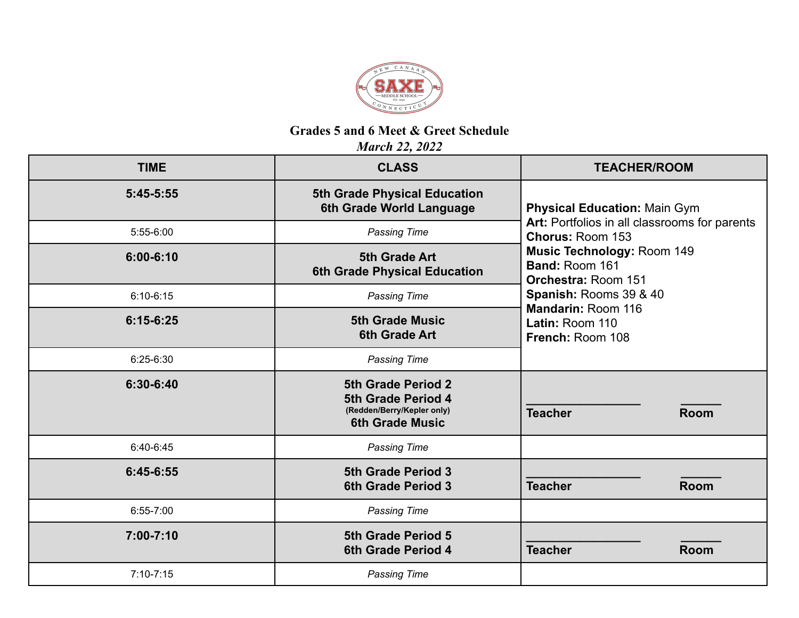

## **Grades 5 and 6 Meet & Greet Schedule**

*March 22, 2022*

| <b>TIME</b>   | <b>CLASS</b>                                                                                     | <b>TEACHER/ROOM</b>                                                                                                                                                                                                                                                                  |  |
|---------------|--------------------------------------------------------------------------------------------------|--------------------------------------------------------------------------------------------------------------------------------------------------------------------------------------------------------------------------------------------------------------------------------------|--|
| $5:45-5:55$   | <b>5th Grade Physical Education</b><br>6th Grade World Language                                  | <b>Physical Education: Main Gym</b><br>Art: Portfolios in all classrooms for parents<br>Chorus: Room 153<br><b>Music Technology: Room 149</b><br>Band: Room 161<br><b>Orchestra: Room 151</b><br>Spanish: Rooms 39 & 40<br>Mandarin: Room 116<br>Latin: Room 110<br>French: Room 108 |  |
| 5:55-6:00     | <b>Passing Time</b>                                                                              |                                                                                                                                                                                                                                                                                      |  |
| $6:00 - 6:10$ | <b>5th Grade Art</b><br>6th Grade Physical Education                                             |                                                                                                                                                                                                                                                                                      |  |
| $6:10-6:15$   | <b>Passing Time</b>                                                                              |                                                                                                                                                                                                                                                                                      |  |
| $6:15-6:25$   | <b>5th Grade Music</b><br><b>6th Grade Art</b>                                                   |                                                                                                                                                                                                                                                                                      |  |
| $6:25-6:30$   | <b>Passing Time</b>                                                                              |                                                                                                                                                                                                                                                                                      |  |
| 6:30-6:40     | 5th Grade Period 2<br>5th Grade Period 4<br>(Redden/Berry/Kepler only)<br><b>6th Grade Music</b> | <b>Teacher</b><br><b>Room</b>                                                                                                                                                                                                                                                        |  |
| $6:40-6:45$   | <b>Passing Time</b>                                                                              |                                                                                                                                                                                                                                                                                      |  |
| $6:45-6:55$   | 5th Grade Period 3<br><b>6th Grade Period 3</b>                                                  | <b>Teacher</b><br><b>Room</b>                                                                                                                                                                                                                                                        |  |
| $6:55 - 7:00$ | <b>Passing Time</b>                                                                              |                                                                                                                                                                                                                                                                                      |  |
| $7:00 - 7:10$ | 5th Grade Period 5<br><b>6th Grade Period 4</b>                                                  | <b>Teacher</b><br><b>Room</b>                                                                                                                                                                                                                                                        |  |
| $7:10 - 7:15$ | <b>Passing Time</b>                                                                              |                                                                                                                                                                                                                                                                                      |  |